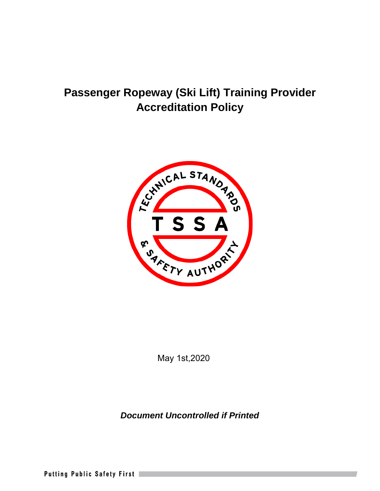## **Passenger Ropeway (Ski Lift) Training Provider Accreditation Policy**



May 1st,2020

*Document Uncontrolled if Printed* 

Putting Public Safety First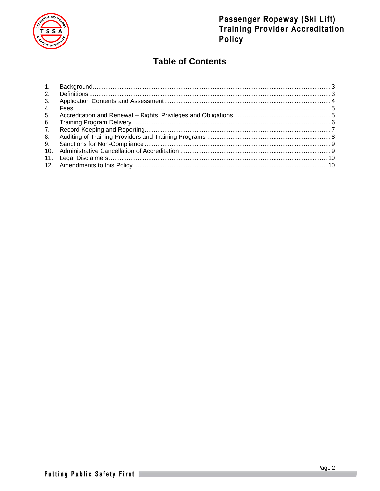

# Passenger Ropeway (Ski Lift)<br>Training Provider Accreditation Policy

### **Table of Contents**

| 1.              |  |
|-----------------|--|
| 2.              |  |
| 3.              |  |
| 4.              |  |
| 5.              |  |
| 6.              |  |
| $7_{\cdot}$     |  |
| 8.              |  |
| 9.              |  |
| 10 <sub>1</sub> |  |
| 11.             |  |
|                 |  |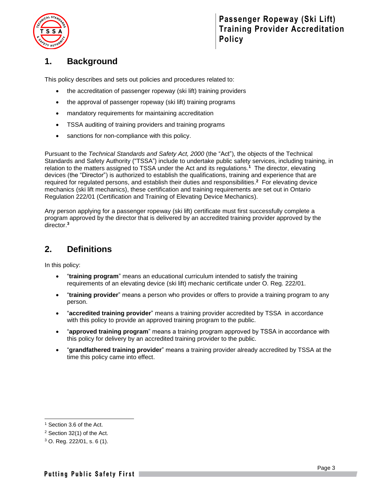

### <span id="page-2-0"></span>**1. Background**

This policy describes and sets out policies and procedures related to:

- the accreditation of passenger ropeway (ski lift) training providers
- the approval of passenger ropeway (ski lift) training programs
- mandatory requirements for maintaining accreditation
- TSSA auditing of training providers and training programs
- sanctions for non-compliance with this policy.

Pursuant to the *Technical Standards and Safety Act, 2000* (the "Act"), the objects of the Technical Standards and Safety Authority ("TSSA") include to undertake public safety services, including training, in relation to the matters assigned to TSSA under the Act and its regulations. **1** The director, elevating devices (the "Director") is authorized to establish the qualifications, training and experience that are required for regulated persons, and establish their duties and responsibilities. **<sup>2</sup>** For elevating device mechanics (ski lift mechanics), these certification and training requirements are set out in Ontario Regulation 222/01 (Certification and Training of Elevating Device Mechanics).

Any person applying for a passenger ropeway (ski lift) certificate must first successfully complete a program approved by the director that is delivered by an accredited training provider approved by the director.**<sup>3</sup>**

### <span id="page-2-1"></span>**2. Definitions**

In this policy:

- "**training program**" means an educational curriculum intended to satisfy the training requirements of an elevating device (ski lift) mechanic certificate under O. Reg. 222/01.
- "**training provider**" means a person who provides or offers to provide a training program to any person.
- "**accredited training provider**" means a training provider accredited by TSSA in accordance with this policy to provide an approved training program to the public.
- "**approved training program**" means a training program approved by TSSA in accordance with this policy for delivery by an accredited training provider to the public.
- "**grandfathered training provider**" means a training provider already accredited by TSSA at the time this policy came into effect.

<sup>1</sup> Section 3.6 of the Act.

<sup>2</sup> Section 32(1) of the Act.

 $3$  O. Reg. 222/01, s. 6 (1).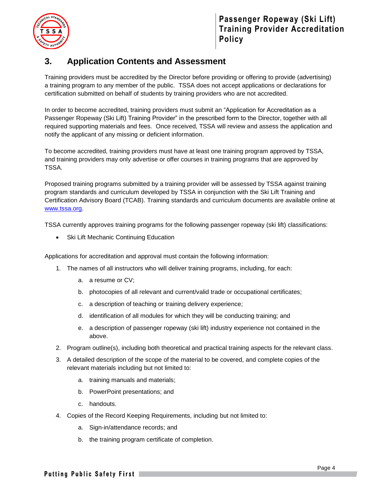

### <span id="page-3-0"></span>**3. Application Contents and Assessment**

Training providers must be accredited by the Director before providing or offering to provide (advertising) a training program to any member of the public. TSSA does not accept applications or declarations for certification submitted on behalf of students by training providers who are not accredited.

In order to become accredited, training providers must submit an "Application for Accreditation as a Passenger Ropeway (Ski Lift) Training Provider" in the prescribed form to the Director, together with all required supporting materials and fees. Once received, TSSA will review and assess the application and notify the applicant of any missing or deficient information.

To become accredited, training providers must have at least one training program approved by TSSA, and training providers may only advertise or offer courses in training programs that are approved by TSSA.

Proposed training programs submitted by a training provider will be assessed by TSSA against training program standards and curriculum developed by TSSA in conjunction with the Ski Lift Training and Certification Advisory Board (TCAB). Training standards and curriculum documents are available online at [www.tssa.org.](http://www.tssa.org/)

TSSA currently approves training programs for the following passenger ropeway (ski lift) classifications:

**Ski Lift Mechanic Continuing Education** 

Applications for accreditation and approval must contain the following information:

- 1. The names of all instructors who will deliver training programs, including, for each:
	- a. a resume or CV;
	- b. photocopies of all relevant and current/valid trade or occupational certificates;
	- c. a description of teaching or training delivery experience;
	- d. identification of all modules for which they will be conducting training; and
	- e. a description of passenger ropeway (ski lift) industry experience not contained in the above.
- 2. Program outline(s), including both theoretical and practical training aspects for the relevant class.
- 3. A detailed description of the scope of the material to be covered, and complete copies of the relevant materials including but not limited to:
	- a. training manuals and materials;
	- b. PowerPoint presentations; and
	- c. handouts.
- 4. Copies of the Record Keeping Requirements, including but not limited to:
	- a. Sign-in/attendance records; and
	- b. the training program certificate of completion.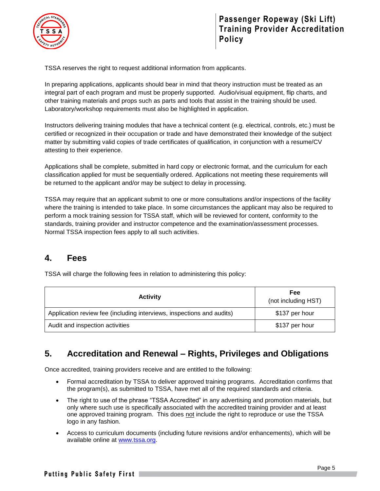

TSSA reserves the right to request additional information from applicants.

In preparing applications, applicants should bear in mind that theory instruction must be treated as an integral part of each program and must be properly supported. Audio/visual equipment, flip charts, and other training materials and props such as parts and tools that assist in the training should be used. Laboratory/workshop requirements must also be highlighted in application.

Instructors delivering training modules that have a technical content (e.g. electrical, controls, etc.) must be certified or recognized in their occupation or trade and have demonstrated their knowledge of the subject matter by submitting valid copies of trade certificates of qualification, in conjunction with a resume/CV attesting to their experience.

Applications shall be complete, submitted in hard copy or electronic format, and the curriculum for each classification applied for must be sequentially ordered. Applications not meeting these requirements will be returned to the applicant and/or may be subject to delay in processing.

TSSA may require that an applicant submit to one or more consultations and/or inspections of the facility where the training is intended to take place. In some circumstances the applicant may also be required to perform a mock training session for TSSA staff, which will be reviewed for content, conformity to the standards, training provider and instructor competence and the examination/assessment processes. Normal TSSA inspection fees apply to all such activities.

### <span id="page-4-0"></span>**4. Fees**

| <b>Activity</b>                                                       | Fee<br>(not including HST) |
|-----------------------------------------------------------------------|----------------------------|
| Application review fee (including interviews, inspections and audits) | \$137 per hour             |
| Audit and inspection activities                                       | \$137 per hour             |

TSSA will charge the following fees in relation to administering this policy:

### <span id="page-4-1"></span>**5. Accreditation and Renewal – Rights, Privileges and Obligations**

Once accredited, training providers receive and are entitled to the following:

- Formal accreditation by TSSA to deliver approved training programs. Accreditation confirms that the program(s), as submitted to TSSA, have met all of the required standards and criteria.
- The right to use of the phrase "TSSA Accredited" in any advertising and promotion materials, but only where such use is specifically associated with the accredited training provider and at least one approved training program. This does not include the right to reproduce or use the TSSA logo in any fashion.
- Access to curriculum documents (including future revisions and/or enhancements), which will be available online at [www.tssa.org.](http://www.tssa.org/)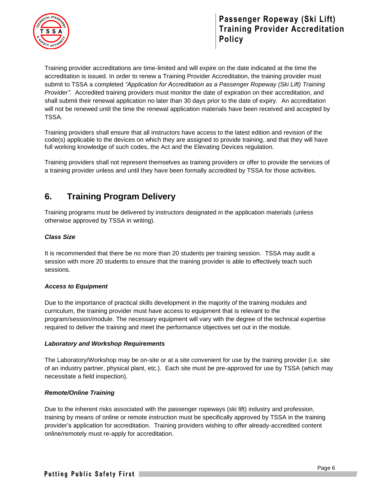



Training provider accreditations are time-limited and will expire on the date indicated at the time the accreditation is issued. In order to renew a Training Provider Accreditation, the training provider must submit to TSSA a completed *"Application for Accreditation as a Passenger Ropeway (Ski Lift) Training Provider"*. Accredited training providers must monitor the date of expiration on their accreditation, and shall submit their renewal application no later than 30 days prior to the date of expiry. An accreditation will not be renewed until the time the renewal application materials have been received and accepted by TSSA.

Training providers shall ensure that all instructors have access to the latest edition and revision of the code(s) applicable to the devices on which they are assigned to provide training, and that they will have full working knowledge of such codes, the Act and the Elevating Devices regulation.

Training providers shall not represent themselves as training providers or offer to provide the services of a training provider unless and until they have been formally accredited by TSSA for those activities.

### <span id="page-5-0"></span>**6. Training Program Delivery**

Training programs must be delivered by instructors designated in the application materials (unless otherwise approved by TSSA in writing).

#### *Class Size*

It is recommended that there be no more than 20 students per training session. TSSA may audit a session with more 20 students to ensure that the training provider is able to effectively teach such sessions.

#### *Access to Equipment*

Due to the importance of practical skills development in the majority of the training modules and curriculum, the training provider must have access to equipment that is relevant to the program/session/module. The necessary equipment will vary with the degree of the technical expertise required to deliver the training and meet the performance objectives set out in the module.

#### *Laboratory and Workshop Requirements*

The Laboratory/Workshop may be on-site or at a site convenient for use by the training provider (i.e. site of an industry partner, physical plant, etc.). Each site must be pre-approved for use by TSSA (which may necessitate a field inspection).

#### *Remote/Online Training*

Due to the inherent risks associated with the passenger ropeways (ski lift) industry and profession, training by means of online or remote instruction must be specifically approved by TSSA in the training provider's application for accreditation. Training providers wishing to offer already-accredited content online/remotely must re-apply for accreditation.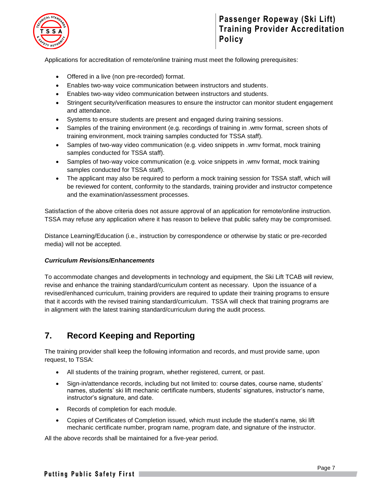

### **Passenger Ropeway (Ski Lift) Training Provider Accreditation Policy**

Applications for accreditation of remote/online training must meet the following prerequisites:

- Offered in a live (non pre-recorded) format.
- Enables two-way voice communication between instructors and students.
- Enables two-way video communication between instructors and students.
- Stringent security/verification measures to ensure the instructor can monitor student engagement and attendance.
- Systems to ensure students are present and engaged during training sessions.
- Samples of the training environment (e.g. recordings of training in .wmv format, screen shots of training environment, mock training samples conducted for TSSA staff).
- Samples of two-way video communication (e.g. video snippets in .wmv format, mock training samples conducted for TSSA staff).
- Samples of two-way voice communication (e.g. voice snippets in .wmv format, mock training samples conducted for TSSA staff).
- The applicant may also be required to perform a mock training session for TSSA staff, which will be reviewed for content, conformity to the standards, training provider and instructor competence and the examination/assessment processes.

Satisfaction of the above criteria does not assure approval of an application for remote/online instruction. TSSA may refuse any application where it has reason to believe that public safety may be compromised.

Distance Learning/Education (i.e., instruction by correspondence or otherwise by static or pre-recorded media) will not be accepted.

#### *Curriculum Revisions/Enhancements*

To accommodate changes and developments in technology and equipment, the Ski Lift TCAB will review, revise and enhance the training standard/curriculum content as necessary. Upon the issuance of a revised/enhanced curriculum, training providers are required to update their training programs to ensure that it accords with the revised training standard/curriculum. TSSA will check that training programs are in alignment with the latest training standard/curriculum during the audit process.

### <span id="page-6-0"></span>**7. Record Keeping and Reporting**

The training provider shall keep the following information and records, and must provide same, upon request, to TSSA:

- All students of the training program, whether registered, current, or past.
- Sign-in/attendance records, including but not limited to: course dates, course name, students' names, students' ski lift mechanic certificate numbers, students' signatures, instructor's name, instructor's signature, and date.
- Records of completion for each module.
- Copies of Certificates of Completion issued, which must include the student's name, ski lift mechanic certificate number, program name, program date, and signature of the instructor.

All the above records shall be maintained for a five-year period.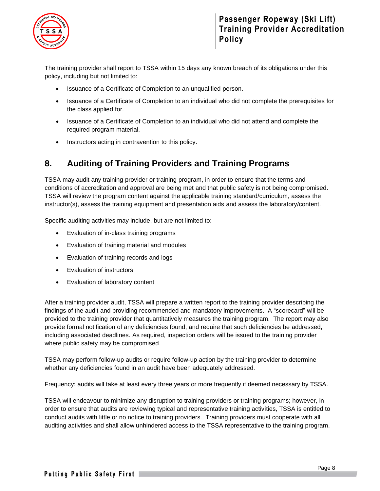

The training provider shall report to TSSA within 15 days any known breach of its obligations under this policy, including but not limited to:

- Issuance of a Certificate of Completion to an unqualified person.
- Issuance of a Certificate of Completion to an individual who did not complete the prerequisites for the class applied for.
- Issuance of a Certificate of Completion to an individual who did not attend and complete the required program material.
- Instructors acting in contravention to this policy.

### <span id="page-7-0"></span>**8. Auditing of Training Providers and Training Programs**

TSSA may audit any training provider or training program, in order to ensure that the terms and conditions of accreditation and approval are being met and that public safety is not being compromised. TSSA will review the program content against the applicable training standard/curriculum, assess the instructor(s), assess the training equipment and presentation aids and assess the laboratory/content.

Specific auditing activities may include, but are not limited to:

- Evaluation of in-class training programs
- Evaluation of training material and modules
- Evaluation of training records and logs
- Evaluation of instructors
- Evaluation of laboratory content

After a training provider audit, TSSA will prepare a written report to the training provider describing the findings of the audit and providing recommended and mandatory improvements. A "scorecard" will be provided to the training provider that quantitatively measures the training program. The report may also provide formal notification of any deficiencies found, and require that such deficiencies be addressed, including associated deadlines. As required, inspection orders will be issued to the training provider where public safety may be compromised.

TSSA may perform follow-up audits or require follow-up action by the training provider to determine whether any deficiencies found in an audit have been adequately addressed.

Frequency: audits will take at least every three years or more frequently if deemed necessary by TSSA.

TSSA will endeavour to minimize any disruption to training providers or training programs; however, in order to ensure that audits are reviewing typical and representative training activities, TSSA is entitled to conduct audits with little or no notice to training providers. Training providers must cooperate with all auditing activities and shall allow unhindered access to the TSSA representative to the training program.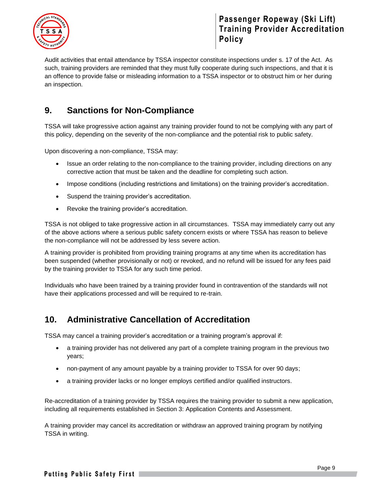

**Passenger Ropeway (Ski Lift) Training Provider Accreditation Policy**

Audit activities that entail attendance by TSSA inspector constitute inspections under s. 17 of the Act. As such, training providers are reminded that they must fully cooperate during such inspections, and that it is an offence to provide false or misleading information to a TSSA inspector or to obstruct him or her during an inspection.

### <span id="page-8-0"></span>**9. Sanctions for Non-Compliance**

TSSA will take progressive action against any training provider found to not be complying with any part of this policy, depending on the severity of the non-compliance and the potential risk to public safety.

Upon discovering a non-compliance, TSSA may:

- Issue an order relating to the non-compliance to the training provider, including directions on any corrective action that must be taken and the deadline for completing such action.
- Impose conditions (including restrictions and limitations) on the training provider's accreditation.
- Suspend the training provider's accreditation.
- Revoke the training provider's accreditation.

TSSA is not obliged to take progressive action in all circumstances. TSSA may immediately carry out any of the above actions where a serious public safety concern exists or where TSSA has reason to believe the non-compliance will not be addressed by less severe action.

A training provider is prohibited from providing training programs at any time when its accreditation has been suspended (whether provisionally or not) or revoked, and no refund will be issued for any fees paid by the training provider to TSSA for any such time period.

Individuals who have been trained by a training provider found in contravention of the standards will not have their applications processed and will be required to re-train.

### <span id="page-8-1"></span>**10. Administrative Cancellation of Accreditation**

TSSA may cancel a training provider's accreditation or a training program's approval if:

- a training provider has not delivered any part of a complete training program in the previous two years;
- non-payment of any amount payable by a training provider to TSSA for over 90 days;
- a training provider lacks or no longer employs certified and/or qualified instructors.

Re-accreditation of a training provider by TSSA requires the training provider to submit a new application, including all requirements established in Section 3: Application Contents and Assessment.

A training provider may cancel its accreditation or withdraw an approved training program by notifying TSSA in writing.